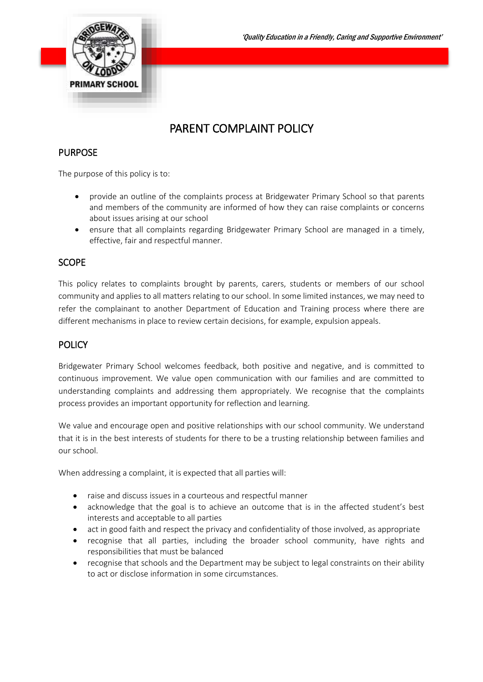

# PARENT COMPLAINT POLICY

## PURPOSE

The purpose of this policy is to:

- provide an outline of the complaints process at Bridgewater Primary School so that parents and members of the community are informed of how they can raise complaints or concerns about issues arising at our school
- ensure that all complaints regarding Bridgewater Primary School are managed in a timely, effective, fair and respectful manner.

### **SCOPE**

This policy relates to complaints brought by parents, carers, students or members of our school community and applies to all matters relating to our school. In some limited instances, we may need to refer the complainant to another Department of Education and Training process where there are different mechanisms in place to review certain decisions, for example, expulsion appeals.

## **POLICY**

Bridgewater Primary School welcomes feedback, both positive and negative, and is committed to continuous improvement. We value open communication with our families and are committed to understanding complaints and addressing them appropriately. We recognise that the complaints process provides an important opportunity for reflection and learning.

We value and encourage open and positive relationships with our school community. We understand that it is in the best interests of students for there to be a trusting relationship between families and our school.

When addressing a complaint, it is expected that all parties will:

- raise and discuss issues in a courteous and respectful manner
- acknowledge that the goal is to achieve an outcome that is in the affected student's best interests and acceptable to all parties
- act in good faith and respect the privacy and confidentiality of those involved, as appropriate
- recognise that all parties, including the broader school community, have rights and responsibilities that must be balanced
- recognise that schools and the Department may be subject to legal constraints on their ability to act or disclose information in some circumstances.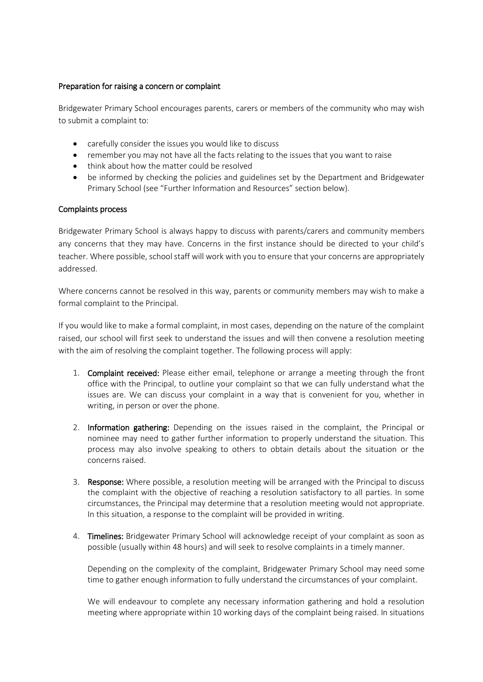#### Preparation for raising a concern or complaint

Bridgewater Primary School encourages parents, carers or members of the community who may wish to submit a complaint to:

- carefully consider the issues you would like to discuss
- remember you may not have all the facts relating to the issues that you want to raise
- think about how the matter could be resolved
- be informed by checking the policies and guidelines set by the Department and Bridgewater Primary School (see "Further Information and Resources" section below).

#### Complaints process

Bridgewater Primary School is always happy to discuss with parents/carers and community members any concerns that they may have. Concerns in the first instance should be directed to your child's teacher. Where possible, school staff will work with you to ensure that your concerns are appropriately addressed.

Where concerns cannot be resolved in this way, parents or community members may wish to make a formal complaint to the Principal.

If you would like to make a formal complaint, in most cases, depending on the nature of the complaint raised, our school will first seek to understand the issues and will then convene a resolution meeting with the aim of resolving the complaint together. The following process will apply:

- 1. Complaint received: Please either email, telephone or arrange a meeting through the front office with the Principal, to outline your complaint so that we can fully understand what the issues are. We can discuss your complaint in a way that is convenient for you, whether in writing, in person or over the phone.
- 2. Information gathering: Depending on the issues raised in the complaint, the Principal or nominee may need to gather further information to properly understand the situation. This process may also involve speaking to others to obtain details about the situation or the concerns raised.
- 3. Response: Where possible, a resolution meeting will be arranged with the Principal to discuss the complaint with the objective of reaching a resolution satisfactory to all parties. In some circumstances, the Principal may determine that a resolution meeting would not appropriate. In this situation, a response to the complaint will be provided in writing.
- 4. Timelines: Bridgewater Primary School will acknowledge receipt of your complaint as soon as possible (usually within 48 hours) and will seek to resolve complaints in a timely manner.

Depending on the complexity of the complaint, Bridgewater Primary School may need some time to gather enough information to fully understand the circumstances of your complaint.

We will endeavour to complete any necessary information gathering and hold a resolution meeting where appropriate within 10 working days of the complaint being raised. In situations